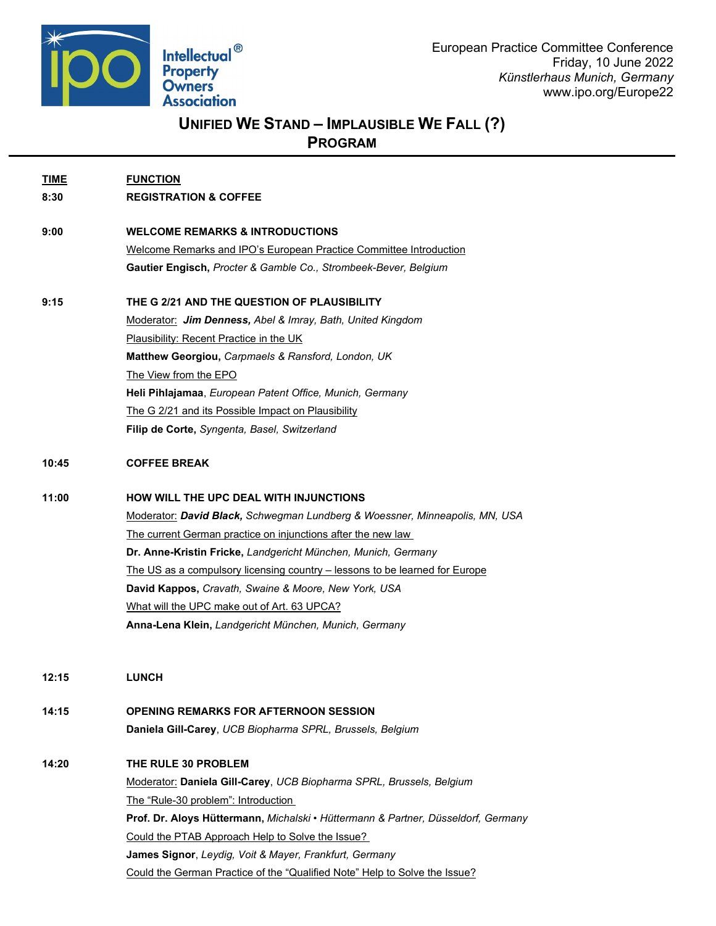

## **UNIFIED WE STAND – IMPLAUSIBLE WE FALL (?)**

**PROGRAM**

**TIME FUNCTION 8:30 REGISTRATION & COFFEE 9:00 WELCOME REMARKS & INTRODUCTIONS** Welcome Remarks and IPO's European Practice Committee Introduction **Gautier Engisch,** *Procter & Gamble Co., Strombeek-Bever, Belgium* **9:15 THE G 2/21 AND THE QUESTION OF PLAUSIBILITY** Moderator: *Jim Denness, Abel & Imray, Bath, United Kingdom* Plausibility: Recent Practice in the UK **Matthew Georgiou,** *Carpmaels & Ransford, London, UK*  The View from the EPO **Heli Pihlajamaa**, *European Patent Office, Munich, Germany* The G 2/21 and its Possible Impact on Plausibility **Filip de Corte,** *Syngenta, Basel, Switzerland* **10:45 COFFEE BREAK 11:00 HOW WILL THE UPC DEAL WITH INJUNCTIONS** Moderator: *David Black, Schwegman Lundberg & Woessner, Minneapolis, MN, USA* The current German practice on injunctions after the new law **Dr. Anne-Kristin Fricke,** *Landgericht München, Munich, Germany* The US as a compulsory licensing country – lessons to be learned for Europe **David Kappos,** *Cravath, Swaine & Moore, New York, USA* What will the UPC make out of Art. 63 UPCA? **Anna-Lena Klein,** *Landgericht München, Munich, Germany* **12:15 LUNCH 14:15 OPENING REMARKS FOR AFTERNOON SESSION Daniela Gill-Carey**, *UCB Biopharma SPRL, Brussels, Belgium*

**14:20 THE RULE 30 PROBLEM** Moderator: **Daniela Gill-Carey**, *UCB Biopharma SPRL, Brussels, Belgium* The "Rule-30 problem": Introduction **Prof. Dr. Aloys Hüttermann,** *Michalski • Hüttermann & Partner, Düsseldorf, Germany* Could the PTAB Approach Help to Solve the Issue? **James Signor**, *Leydig, Voit & Mayer, Frankfurt, Germany* Could the German Practice of the "Qualified Note" Help to Solve the Issue?